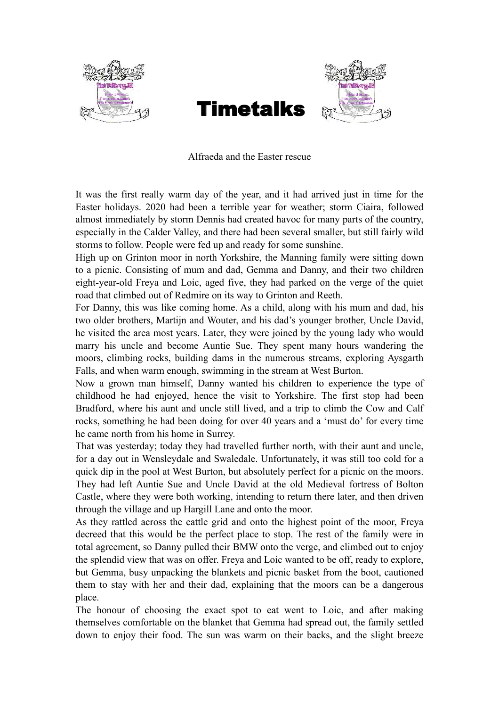



Alfraeda and the Easter rescue

It was the first really warm day of the year, and it had arrived just in time for the Easter holidays. 2020 had been a terrible year for weather; storm Ciaira, followed almost immediately by storm Dennis had created havoc for many parts of the country, especially in the Calder Valley, and there had been several smaller, but still fairly wild storms to follow. People were fed up and ready for some sunshine.

High up on Grinton moor in north Yorkshire, the Manning family were sitting down to a picnic. Consisting of mum and dad, Gemma and Danny, and their two children eight-year-old Freya and Loic, aged five, they had parked on the verge of the quiet road that climbed out of Redmire on its way to Grinton and Reeth.

For Danny, this was like coming home. As a child, along with his mum and dad, his two older brothers, Martijn and Wouter, and his dad's younger brother, Uncle David, he visited the area most years. Later, they were joined by the young lady who would marry his uncle and become Auntie Sue. They spent many hours wandering the moors, climbing rocks, building dams in the numerous streams, exploring Aysgarth Falls, and when warm enough, swimming in the stream at West Burton.

Now a grown man himself, Danny wanted his children to experience the type of childhood he had enjoyed, hence the visit to Yorkshire. The first stop had been Bradford, where his aunt and uncle still lived, and a trip to climb the Cow and Calf rocks, something he had been doing for over 40 years and a 'must do' for every time he came north from his home in Surrey.

That was yesterday; today they had travelled further north, with their aunt and uncle, for a day out in Wensleydale and Swaledale. Unfortunately, it was still too cold for a quick dip in the pool at West Burton, but absolutely perfect for a picnic on the moors. They had left Auntie Sue and Uncle David at the old Medieval fortress of Bolton Castle, where they were both working, intending to return there later, and then driven through the village and up Hargill Lane and onto the moor.

As they rattled across the cattle grid and onto the highest point of the moor, Freya decreed that this would be the perfect place to stop. The rest of the family were in total agreement, so Danny pulled their BMW onto the verge, and climbed out to enjoy the splendid view that was on offer. Freya and Loic wanted to be off, ready to explore, but Gemma, busy unpacking the blankets and picnic basket from the boot, cautioned them to stay with her and their dad, explaining that the moors can be a dangerous place.

The honour of choosing the exact spot to eat went to Loic, and after making themselves comfortable on the blanket that Gemma had spread out, the family settled down to enjoy their food. The sun was warm on their backs, and the slight breeze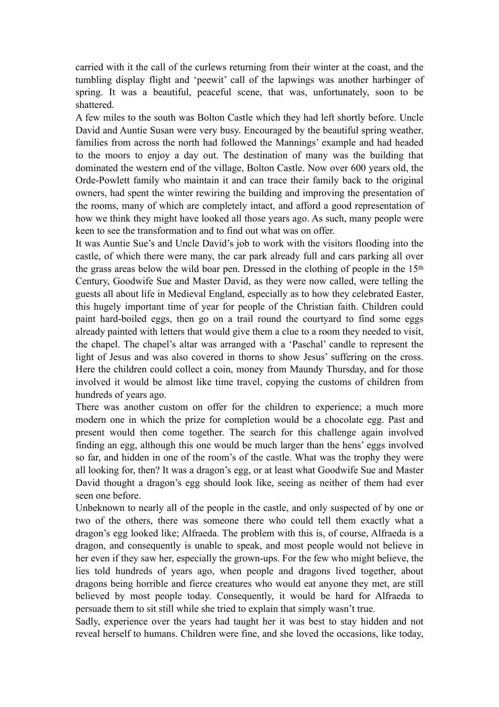carried with it the call of the curlews returning from their winter at the coast, and the tumbling display flight and 'peewit' call of the lapwings was another harbinger of spring. It was a beautiful, peaceful scene, that was, unfortunately, soon to be shattered.

A few miles to the south was Bolton Castle which they had left shortly before. Uncle David and Auntie Susan were very busy. Encouraged by the beautiful spring weather, families from across the north had followed the Mannings' example and had headed to the moors to enjoy a day out. The destination of many was the building that dominated the western end of the village, Bolton Castle. Now over 600 years old, the Orde-Powlett family who maintain it and can trace their family back to the original owners, had spent the winter rewiring the building and improving the presentation of the rooms, many of which are completely intact, and afford a good representation of how we think they might have looked all those years ago. As such, many people were keen to see the transformation and to find out what was on offer.

It was Auntie Sue's and Uncle David's job to work with the visitors flooding into the castle, of which there were many, the car park already full and cars parking all over the grass areas below the wild boar pen. Dressed in the clothing of people in the 15th Century, Goodwife Sue and Master David, as they were now called, were telling the guests all about life in Medieval England, especially as to how they celebrated Easter, this hugely important time of year for people of the Christian faith. Children could paint hard-boiled eggs, then go on a trail round the courtyard to find some eggs already painted with letters that would give them a clue to a room they needed to visit, the chapel. The chapel's altar was arranged with a 'Paschal' candle to represent the light of Jesus and was also covered in thorns to show Jesus' suffering on the cross. Here the children could collect a coin, money from Maundy Thursday, and for those involved it would be almost like time travel, copying the customs of children from hundreds of years ago.

There was another custom on offer for the children to experience; a much more modern one in which the prize for completion would be a chocolate egg. Past and present would then come together. The search for this challenge again involved finding an egg, although this one would be much larger than the hens' eggs involved so far, and hidden in one of the room's of the castle. What was the trophy they were all looking for, then? It was a dragon's egg, or at least what Goodwife Sue and Master David thought a dragon's egg should look like, seeing as neither of them had ever seen one before.

Unbeknown to nearly all of the people in the castle, and only suspected of by one or two of the others, there was someone there who could tell them exactly what a dragon's egg looked like; Alfraeda. The problem with this is, of course, Alfraeda is a dragon, and consequently is unable to speak, and most people would not believe in her even if they saw her, especially the grown-ups. For the few who might believe, the lies told hundreds of years ago, when people and dragons lived together, about dragons being horrible and fierce creatures who would eat anyone they met, are still believed by most people today. Consequently, it would be hard for Alfraeda to persuade them to sit still while she tried to explain that simply wasn't true.

Sadly, experience over the years had taught her it was best to stay hidden and not reveal herself to humans. Children were fine, and she loved the occasions, like today,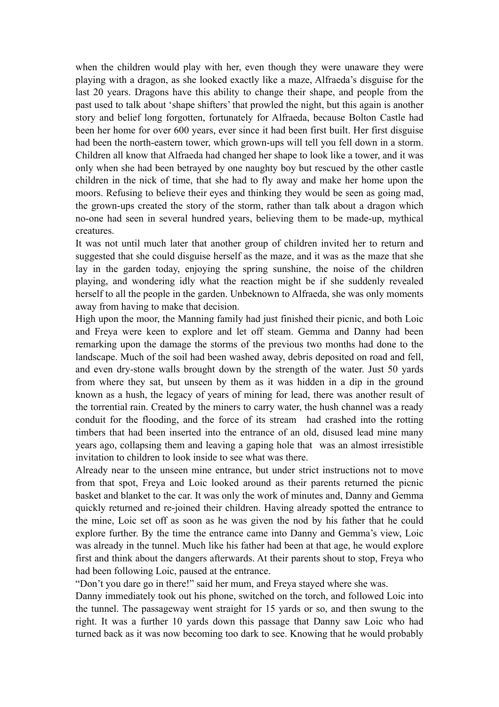when the children would play with her, even though they were unaware they were playing with a dragon, as she looked exactly like a maze, Alfraeda's disguise for the last 20 years. Dragons have this ability to change their shape, and people from the past used to talk about 'shape shifters' that prowled the night, but this again is another story and belief long forgotten, fortunately for Alfraeda, because Bolton Castle had been her home for over 600 years, ever since it had been first built. Her first disguise had been the north-eastern tower, which grown-ups will tell you fell down in a storm. Children all know that Alfraeda had changed her shape to look like a tower, and it was only when she had been betrayed by one naughty boy but rescued by the other castle children in the nick of time, that she had to fly away and make her home upon the moors. Refusing to believe their eyes and thinking they would be seen as going mad, the grown-ups created the story of the storm, rather than talk about a dragon which no-one had seen in several hundred years, believing them to be made-up, mythical creatures.

It was not until much later that another group of children invited her to return and suggested that she could disguise herself as the maze, and it was as the maze that she lay in the garden today, enjoying the spring sunshine, the noise of the children playing, and wondering idly what the reaction might be if she suddenly revealed herself to all the people in the garden. Unbeknown to Alfraeda, she was only moments away from having to make that decision.

High upon the moor, the Manning family had just finished their picnic, and both Loic and Freya were keen to explore and let off steam. Gemma and Danny had been remarking upon the damage the storms of the previous two months had done to the landscape. Much of the soil had been washed away, debris deposited on road and fell, and even dry-stone walls brought down by the strength of the water. Just 50 yards from where they sat, but unseen by them as it was hidden in a dip in the ground known as a hush, the legacy of years of mining for lead, there was another result of the torrential rain. Created by the miners to carry water, the hush channel was a ready conduit for the flooding, and the force of its stream had crashed into the rotting timbers that had been inserted into the entrance of an old, disused lead mine many years ago, collapsing them and leaving a gaping hole that was an almost irresistible invitation to children to look inside to see what was there.

Already near to the unseen mine entrance, but under strict instructions not to move from that spot, Freya and Loic looked around as their parents returned the picnic basket and blanket to the car. It was only the work of minutes and, Danny and Gemma quickly returned and re-joined their children. Having already spotted the entrance to the mine, Loic set off as soon as he was given the nod by his father that he could explore further. By the time the entrance came into Danny and Gemma's view, Loic was already in the tunnel. Much like his father had been at that age, he would explore first and think about the dangers afterwards. At their parents shout to stop, Freya who had been following Loic, paused at the entrance.

"Don't you dare go in there!" said her mum, and Freya stayed where she was.

Danny immediately took out his phone, switched on the torch, and followed Loic into the tunnel. The passageway went straight for 15 yards or so, and then swung to the right. It was a further 10 yards down this passage that Danny saw Loic who had turned back as it was now becoming too dark to see. Knowing that he would probably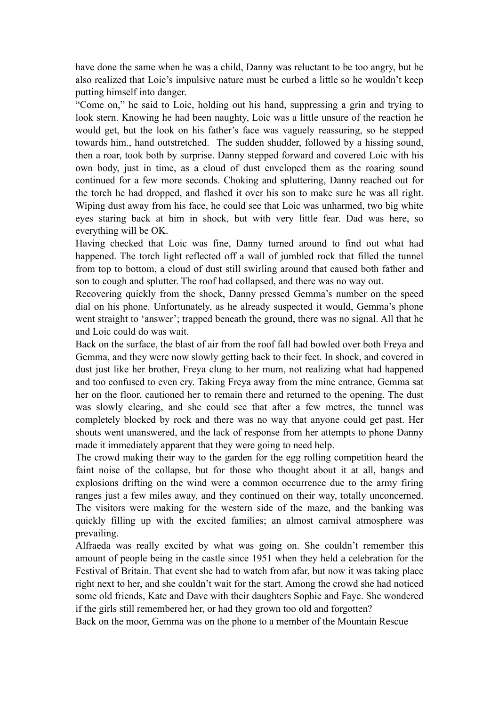have done the same when he was a child, Danny was reluctant to be too angry, but he also realized that Loic's impulsive nature must be curbed a little so he wouldn't keep putting himself into danger.

"Come on," he said to Loic, holding out his hand, suppressing a grin and trying to look stern. Knowing he had been naughty, Loic was a little unsure of the reaction he would get, but the look on his father's face was vaguely reassuring, so he stepped towards him., hand outstretched. The sudden shudder, followed by a hissing sound, then a roar, took both by surprise. Danny stepped forward and covered Loic with his own body, just in time, as a cloud of dust enveloped them as the roaring sound continued for a few more seconds. Choking and spluttering, Danny reached out for the torch he had dropped, and flashed it over his son to make sure he was all right. Wiping dust away from his face, he could see that Loic was unharmed, two big white eyes staring back at him in shock, but with very little fear. Dad was here, so everything will be OK.

Having checked that Loic was fine, Danny turned around to find out what had happened. The torch light reflected off a wall of jumbled rock that filled the tunnel from top to bottom, a cloud of dust still swirling around that caused both father and son to cough and splutter. The roof had collapsed, and there was no way out.

Recovering quickly from the shock, Danny pressed Gemma's number on the speed dial on his phone. Unfortunately, as he already suspected it would, Gemma's phone went straight to 'answer'; trapped beneath the ground, there was no signal. All that he and Loic could do was wait.

Back on the surface, the blast of air from the roof fall had bowled over both Freya and Gemma, and they were now slowly getting back to their feet. In shock, and covered in dust just like her brother, Freya clung to her mum, not realizing what had happened and too confused to even cry. Taking Freya away from the mine entrance, Gemma sat her on the floor, cautioned her to remain there and returned to the opening. The dust was slowly clearing, and she could see that after a few metres, the tunnel was completely blocked by rock and there was no way that anyone could get past. Her shouts went unanswered, and the lack of response from her attempts to phone Danny made it immediately apparent that they were going to need help.

The crowd making their way to the garden for the egg rolling competition heard the faint noise of the collapse, but for those who thought about it at all, bangs and explosions drifting on the wind were a common occurrence due to the army firing ranges just a few miles away, and they continued on their way, totally unconcerned. The visitors were making for the western side of the maze, and the banking was quickly filling up with the excited families; an almost carnival atmosphere was prevailing.

Alfraeda was really excited by what was going on. She couldn't remember this amount of people being in the castle since 1951 when they held a celebration for the Festival of Britain. That event she had to watch from afar, but now it was taking place right next to her, and she couldn't wait for the start. Among the crowd she had noticed some old friends, Kate and Dave with their daughters Sophie and Faye. She wondered if the girls still remembered her, or had they grown too old and forgotten?

Back on the moor, Gemma was on the phone to a member of the Mountain Rescue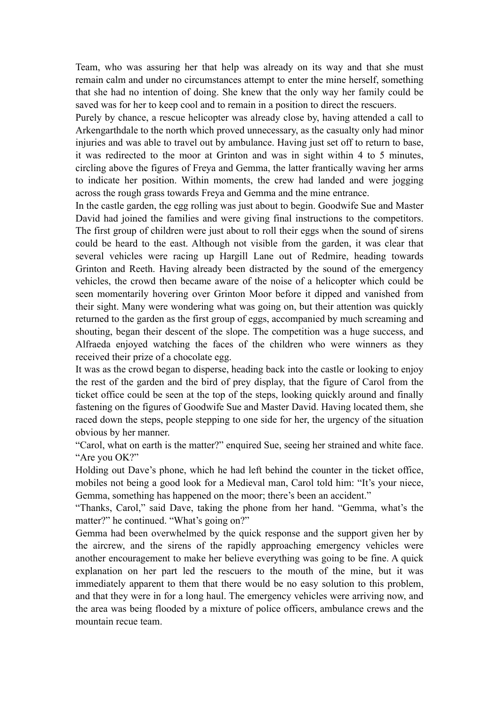Team, who was assuring her that help was already on its way and that she must remain calm and under no circumstances attempt to enter the mine herself, something that she had no intention of doing. She knew that the only way her family could be saved was for her to keep cool and to remain in a position to direct the rescuers.

Purely by chance, a rescue helicopter was already close by, having attended a call to Arkengarthdale to the north which proved unnecessary, as the casualty only had minor injuries and was able to travel out by ambulance. Having just set off to return to base, it was redirected to the moor at Grinton and was in sight within 4 to 5 minutes, circling above the figures of Freya and Gemma, the latter frantically waving her arms to indicate her position. Within moments, the crew had landed and were jogging across the rough grass towards Freya and Gemma and the mine entrance.

In the castle garden, the egg rolling was just about to begin. Goodwife Sue and Master David had joined the families and were giving final instructions to the competitors. The first group of children were just about to roll their eggs when the sound of sirens could be heard to the east. Although not visible from the garden, it was clear that several vehicles were racing up Hargill Lane out of Redmire, heading towards Grinton and Reeth. Having already been distracted by the sound of the emergency vehicles, the crowd then became aware of the noise of a helicopter which could be seen momentarily hovering over Grinton Moor before it dipped and vanished from their sight. Many were wondering what was going on, but their attention was quickly returned to the garden as the first group of eggs, accompanied by much screaming and shouting, began their descent of the slope. The competition was a huge success, and Alfraeda enjoyed watching the faces of the children who were winners as they received their prize of a chocolate egg.

It was as the crowd began to disperse, heading back into the castle or looking to enjoy the rest of the garden and the bird of prey display, that the figure of Carol from the ticket office could be seen at the top of the steps, looking quickly around and finally fastening on the figures of Goodwife Sue and Master David. Having located them, she raced down the steps, people stepping to one side for her, the urgency of the situation obvious by her manner.

"Carol, what on earth is the matter?" enquired Sue, seeing her strained and white face. "Are you OK?"

Holding out Dave's phone, which he had left behind the counter in the ticket office, mobiles not being a good look for a Medieval man, Carol told him: "It's your niece, Gemma, something has happened on the moor; there's been an accident."

"Thanks, Carol," said Dave, taking the phone from her hand. "Gemma, what's the matter?" he continued. "What's going on?"

Gemma had been overwhelmed by the quick response and the support given her by the aircrew, and the sirens of the rapidly approaching emergency vehicles were another encouragement to make her believe everything was going to be fine. A quick explanation on her part led the rescuers to the mouth of the mine, but it was immediately apparent to them that there would be no easy solution to this problem, and that they were in for a long haul. The emergency vehicles were arriving now, and the area was being flooded by a mixture of police officers, ambulance crews and the mountain recue team.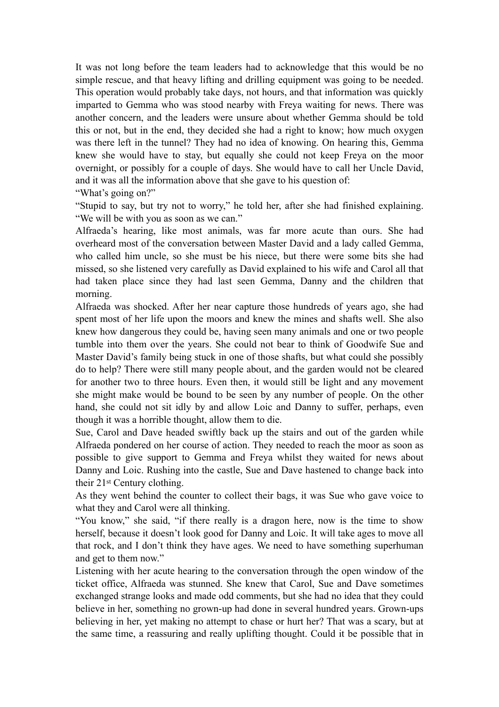It was not long before the team leaders had to acknowledge that this would be no simple rescue, and that heavy lifting and drilling equipment was going to be needed. This operation would probably take days, not hours, and that information was quickly imparted to Gemma who was stood nearby with Freya waiting for news. There was another concern, and the leaders were unsure about whether Gemma should be told this or not, but in the end, they decided she had a right to know; how much oxygen was there left in the tunnel? They had no idea of knowing. On hearing this, Gemma knew she would have to stay, but equally she could not keep Freya on the moor overnight, or possibly for a couple of days. She would have to call her Uncle David, and it was all the information above that she gave to his question of:

"What's going on?"

"Stupid to say, but try not to worry," he told her, after she had finished explaining. "We will be with you as soon as we can."

Alfraeda's hearing, like most animals, was far more acute than ours. She had overheard most of the conversation between Master David and a lady called Gemma, who called him uncle, so she must be his niece, but there were some bits she had missed, so she listened very carefully as David explained to his wife and Carol all that had taken place since they had last seen Gemma, Danny and the children that morning.

Alfraeda was shocked. After her near capture those hundreds of years ago, she had spent most of her life upon the moors and knew the mines and shafts well. She also knew how dangerous they could be, having seen many animals and one or two people tumble into them over the years. She could not bear to think of Goodwife Sue and Master David's family being stuck in one of those shafts, but what could she possibly do to help? There were still many people about, and the garden would not be cleared for another two to three hours. Even then, it would still be light and any movement she might make would be bound to be seen by any number of people. On the other hand, she could not sit idly by and allow Loic and Danny to suffer, perhaps, even though it was a horrible thought, allow them to die.

Sue, Carol and Dave headed swiftly back up the stairs and out of the garden while Alfraeda pondered on her course of action. They needed to reach the moor as soon as possible to give support to Gemma and Freya whilst they waited for news about Danny and Loic. Rushing into the castle, Sue and Dave hastened to change back into their 21st Century clothing.

As they went behind the counter to collect their bags, it was Sue who gave voice to what they and Carol were all thinking.

"You know," she said, "if there really is a dragon here, now is the time to show herself, because it doesn't look good for Danny and Loic. It will take ages to move all that rock, and I don't think they have ages. We need to have something superhuman and get to them now."

Listening with her acute hearing to the conversation through the open window of the ticket office, Alfraeda was stunned. She knew that Carol, Sue and Dave sometimes exchanged strange looks and made odd comments, but she had no idea that they could believe in her, something no grown-up had done in several hundred years. Grown-ups believing in her, yet making no attempt to chase or hurt her? That was a scary, but at the same time, a reassuring and really uplifting thought. Could it be possible that in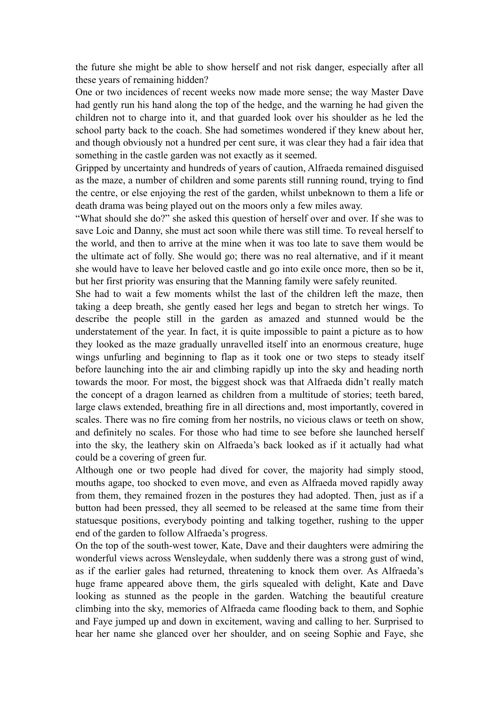the future she might be able to show herself and not risk danger, especially after all these years of remaining hidden?

One or two incidences of recent weeks now made more sense; the way Master Dave had gently run his hand along the top of the hedge, and the warning he had given the children not to charge into it, and that guarded look over his shoulder as he led the school party back to the coach. She had sometimes wondered if they knew about her, and though obviously not a hundred per cent sure, it was clear they had a fair idea that something in the castle garden was not exactly as it seemed.

Gripped by uncertainty and hundreds of years of caution, Alfraeda remained disguised as the maze, a number of children and some parents still running round, trying to find the centre, or else enjoying the rest of the garden, whilst unbeknown to them a life or death drama was being played out on the moors only a few miles away.

"What should she do?" she asked this question of herself over and over. If she was to save Loic and Danny, she must act soon while there was still time. To reveal herself to the world, and then to arrive at the mine when it was too late to save them would be the ultimate act of folly. She would go; there was no real alternative, and if it meant she would have to leave her beloved castle and go into exile once more, then so be it, but her first priority was ensuring that the Manning family were safely reunited.

She had to wait a few moments whilst the last of the children left the maze, then taking a deep breath, she gently eased her legs and began to stretch her wings. To describe the people still in the garden as amazed and stunned would be the understatement of the year. In fact, it is quite impossible to paint a picture as to how they looked as the maze gradually unravelled itself into an enormous creature, huge wings unfurling and beginning to flap as it took one or two steps to steady itself before launching into the air and climbing rapidly up into the sky and heading north towards the moor. For most, the biggest shock was that Alfraeda didn't really match the concept of a dragon learned as children from a multitude of stories; teeth bared, large claws extended, breathing fire in all directions and, most importantly, covered in scales. There was no fire coming from her nostrils, no vicious claws or teeth on show, and definitely no scales. For those who had time to see before she launched herself into the sky, the leathery skin on Alfraeda's back looked as if it actually had what could be a covering of green fur.

Although one or two people had dived for cover, the majority had simply stood, mouths agape, too shocked to even move, and even as Alfraeda moved rapidly away from them, they remained frozen in the postures they had adopted. Then, just as if a button had been pressed, they all seemed to be released at the same time from their statuesque positions, everybody pointing and talking together, rushing to the upper end of the garden to follow Alfraeda's progress.

On the top of the south-west tower, Kate, Dave and their daughters were admiring the wonderful views across Wensleydale, when suddenly there was a strong gust of wind, as if the earlier gales had returned, threatening to knock them over. As Alfraeda's huge frame appeared above them, the girls squealed with delight, Kate and Dave looking as stunned as the people in the garden. Watching the beautiful creature climbing into the sky, memories of Alfraeda came flooding back to them, and Sophie and Faye jumped up and down in excitement, waving and calling to her. Surprised to hear her name she glanced over her shoulder, and on seeing Sophie and Faye, she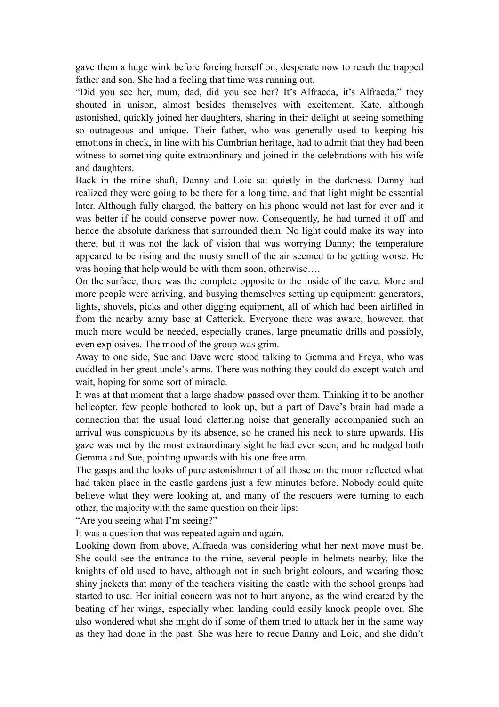gave them a huge wink before forcing herself on, desperate now to reach the trapped father and son. She had a feeling that time was running out.

"Did you see her, mum, dad, did you see her? It's Alfraeda, it's Alfraeda," they shouted in unison, almost besides themselves with excitement. Kate, although astonished, quickly joined her daughters, sharing in their delight at seeing something so outrageous and unique. Their father, who was generally used to keeping his emotions in check, in line with his Cumbrian heritage, had to admit that they had been witness to something quite extraordinary and joined in the celebrations with his wife and daughters.

Back in the mine shaft, Danny and Loic sat quietly in the darkness. Danny had realized they were going to be there for a long time, and that light might be essential later. Although fully charged, the battery on his phone would not last for ever and it was better if he could conserve power now. Consequently, he had turned it off and hence the absolute darkness that surrounded them. No light could make its way into there, but it was not the lack of vision that was worrying Danny; the temperature appeared to be rising and the musty smell of the air seemed to be getting worse. He was hoping that help would be with them soon, otherwise....

On the surface, there was the complete opposite to the inside of the cave. More and more people were arriving, and busying themselves setting up equipment: generators, lights, shovels, picks and other digging equipment, all of which had been airlifted in from the nearby army base at Catterick. Everyone there was aware, however, that much more would be needed, especially cranes, large pneumatic drills and possibly, even explosives. The mood of the group was grim.

Away to one side, Sue and Dave were stood talking to Gemma and Freya, who was cuddled in her great uncle's arms. There was nothing they could do except watch and wait, hoping for some sort of miracle.

It was at that moment that a large shadow passed over them. Thinking it to be another helicopter, few people bothered to look up, but a part of Dave's brain had made a connection that the usual loud clattering noise that generally accompanied such an arrival was conspicuous by its absence, so he craned his neck to stare upwards. His gaze was met by the most extraordinary sight he had ever seen, and he nudged both Gemma and Sue, pointing upwards with his one free arm.

The gasps and the looks of pure astonishment of all those on the moor reflected what had taken place in the castle gardens just a few minutes before. Nobody could quite believe what they were looking at, and many of the rescuers were turning to each other, the majority with the same question on their lips:

"Are you seeing what I'm seeing?"

It was a question that was repeated again and again.

Looking down from above, Alfraeda was considering what her next move must be. She could see the entrance to the mine, several people in helmets nearby, like the knights of old used to have, although not in such bright colours, and wearing those shiny jackets that many of the teachers visiting the castle with the school groups had started to use. Her initial concern was not to hurt anyone, as the wind created by the beating of her wings, especially when landing could easily knock people over. She also wondered what she might do if some of them tried to attack her in the same way as they had done in the past. She was here to recue Danny and Loic, and she didn't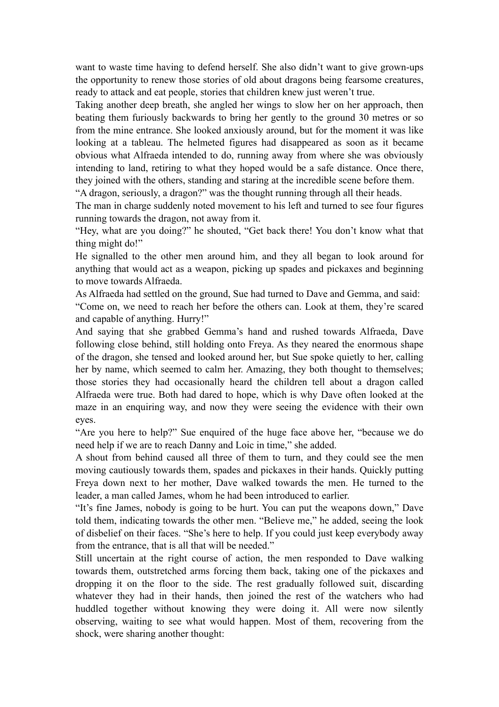want to waste time having to defend herself. She also didn't want to give grown-ups the opportunity to renew those stories of old about dragons being fearsome creatures, ready to attack and eat people, stories that children knew just weren't true.

Taking another deep breath, she angled her wings to slow her on her approach, then beating them furiously backwards to bring her gently to the ground 30 metres or so from the mine entrance. She looked anxiously around, but for the moment it was like looking at a tableau. The helmeted figures had disappeared as soon as it became obvious what Alfraeda intended to do, running away from where she was obviously intending to land, retiring to what they hoped would be a safe distance. Once there, they joined with the others, standing and staring at the incredible scene before them.

"A dragon, seriously, a dragon?" was the thought running through all their heads.

The man in charge suddenly noted movement to his left and turned to see four figures running towards the dragon, not away from it.

"Hey, what are you doing?" he shouted, "Get back there! You don't know what that thing might do!"

He signalled to the other men around him, and they all began to look around for anything that would act as a weapon, picking up spades and pickaxes and beginning to move towards Alfraeda.

As Alfraeda had settled on the ground, Sue had turned to Dave and Gemma, and said: "Come on, we need to reach her before the others can. Look at them, they're scared and capable of anything. Hurry!"

And saying that she grabbed Gemma's hand and rushed towards Alfraeda, Dave following close behind, still holding onto Freya. As they neared the enormous shape of the dragon, she tensed and looked around her, but Sue spoke quietly to her, calling her by name, which seemed to calm her. Amazing, they both thought to themselves; those stories they had occasionally heard the children tell about a dragon called Alfraeda were true. Both had dared to hope, which is why Dave often looked at the maze in an enquiring way, and now they were seeing the evidence with their own eyes.

"Are you here to help?" Sue enquired of the huge face above her, "because we do need help if we are to reach Danny and Loic in time," she added.

A shout from behind caused all three of them to turn, and they could see the men moving cautiously towards them, spades and pickaxes in their hands. Quickly putting Freya down next to her mother, Dave walked towards the men. He turned to the leader, a man called James, whom he had been introduced to earlier.

"It's fine James, nobody is going to be hurt. You can put the weapons down," Dave told them, indicating towards the other men. "Believe me," he added, seeing the look of disbelief on their faces. "She's here to help. If you could just keep everybody away from the entrance, that is all that will be needed."

Still uncertain at the right course of action, the men responded to Dave walking towards them, outstretched arms forcing them back, taking one of the pickaxes and dropping it on the floor to the side. The rest gradually followed suit, discarding whatever they had in their hands, then joined the rest of the watchers who had huddled together without knowing they were doing it. All were now silently observing, waiting to see what would happen. Most of them, recovering from the shock, were sharing another thought: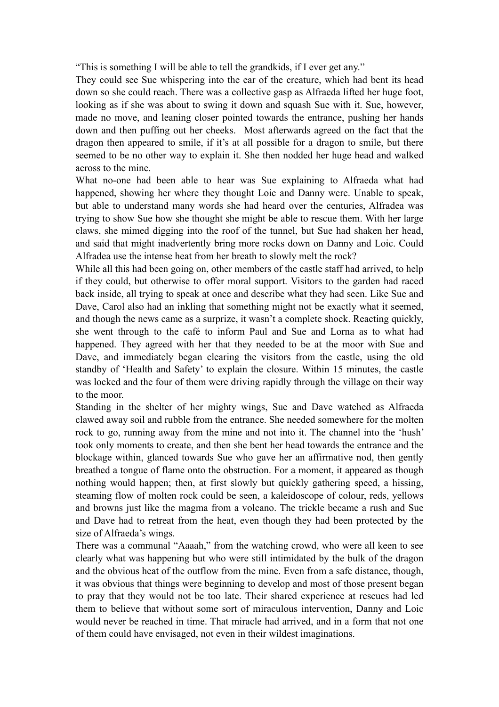"This is something I will be able to tell the grandkids, if I ever get any."

They could see Sue whispering into the ear of the creature, which had bent its head down so she could reach. There was a collective gasp as Alfraeda lifted her huge foot, looking as if she was about to swing it down and squash Sue with it. Sue, however, made no move, and leaning closer pointed towards the entrance, pushing her hands down and then puffing out her cheeks. Most afterwards agreed on the fact that the dragon then appeared to smile, if it's at all possible for a dragon to smile, but there seemed to be no other way to explain it. She then nodded her huge head and walked across to the mine.

What no-one had been able to hear was Sue explaining to Alfraeda what had happened, showing her where they thought Loic and Danny were. Unable to speak, but able to understand many words she had heard over the centuries, Alfradea was trying to show Sue how she thought she might be able to rescue them. With her large claws, she mimed digging into the roof of the tunnel, but Sue had shaken her head, and said that might inadvertently bring more rocks down on Danny and Loic. Could Alfradea use the intense heat from her breath to slowly melt the rock?

While all this had been going on, other members of the castle staff had arrived, to help if they could, but otherwise to offer moral support. Visitors to the garden had raced back inside, all trying to speak at once and describe what they had seen. Like Sue and Dave, Carol also had an inkling that something might not be exactly what it seemed, and though the news came as a surprize, it wasn't a complete shock. Reacting quickly, she went through to the café to inform Paul and Sue and Lorna as to what had happened. They agreed with her that they needed to be at the moor with Sue and Dave, and immediately began clearing the visitors from the castle, using the old standby of 'Health and Safety' to explain the closure. Within 15 minutes, the castle was locked and the four of them were driving rapidly through the village on their way to the moor.

Standing in the shelter of her mighty wings, Sue and Dave watched as Alfraeda clawed away soil and rubble from the entrance. She needed somewhere for the molten rock to go, running away from the mine and not into it. The channel into the 'hush' took only moments to create, and then she bent her head towards the entrance and the blockage within, glanced towards Sue who gave her an affirmative nod, then gently breathed a tongue of flame onto the obstruction. For a moment, it appeared as though nothing would happen; then, at first slowly but quickly gathering speed, a hissing, steaming flow of molten rock could be seen, a kaleidoscope of colour, reds, yellows and browns just like the magma from a volcano. The trickle became a rush and Sue and Dave had to retreat from the heat, even though they had been protected by the size of Alfraeda's wings.

There was a communal "Aaaah," from the watching crowd, who were all keen to see clearly what was happening but who were still intimidated by the bulk of the dragon and the obvious heat of the outflow from the mine. Even from a safe distance, though, it was obvious that things were beginning to develop and most of those present began to pray that they would not be too late. Their shared experience at rescues had led them to believe that without some sort of miraculous intervention, Danny and Loic would never be reached in time. That miracle had arrived, and in a form that not one of them could have envisaged, not even in their wildest imaginations.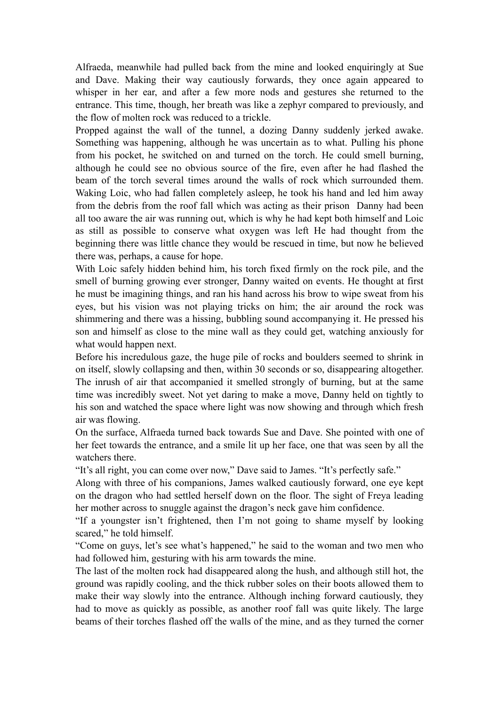Alfraeda, meanwhile had pulled back from the mine and looked enquiringly at Sue and Dave. Making their way cautiously forwards, they once again appeared to whisper in her ear, and after a few more nods and gestures she returned to the entrance. This time, though, her breath was like a zephyr compared to previously, and the flow of molten rock was reduced to a trickle.

Propped against the wall of the tunnel, a dozing Danny suddenly jerked awake. Something was happening, although he was uncertain as to what. Pulling his phone from his pocket, he switched on and turned on the torch. He could smell burning, although he could see no obvious source of the fire, even after he had flashed the beam of the torch several times around the walls of rock which surrounded them. Waking Loic, who had fallen completely asleep, he took his hand and led him away from the debris from the roof fall which was acting as their prison Danny had been all too aware the air was running out, which is why he had kept both himself and Loic as still as possible to conserve what oxygen was left He had thought from the beginning there was little chance they would be rescued in time, but now he believed there was, perhaps, a cause for hope.

With Loic safely hidden behind him, his torch fixed firmly on the rock pile, and the smell of burning growing ever stronger, Danny waited on events. He thought at first he must be imagining things, and ran his hand across his brow to wipe sweat from his eyes, but his vision was not playing tricks on him; the air around the rock was shimmering and there was a hissing, bubbling sound accompanying it. He pressed his son and himself as close to the mine wall as they could get, watching anxiously for what would happen next.

Before his incredulous gaze, the huge pile of rocks and boulders seemed to shrink in on itself, slowly collapsing and then, within 30 seconds or so, disappearing altogether. The inrush of air that accompanied it smelled strongly of burning, but at the same time was incredibly sweet. Not yet daring to make a move, Danny held on tightly to his son and watched the space where light was now showing and through which fresh air was flowing.

On the surface, Alfraeda turned back towards Sue and Dave. She pointed with one of her feet towards the entrance, and a smile lit up her face, one that was seen by all the watchers there.

"It's all right, you can come over now," Dave said to James. "It's perfectly safe."

Along with three of his companions, James walked cautiously forward, one eye kept on the dragon who had settled herself down on the floor. The sight of Freya leading her mother across to snuggle against the dragon's neck gave him confidence.

"If a youngster isn't frightened, then I'm not going to shame myself by looking scared," he told himself.

"Come on guys, let's see what's happened," he said to the woman and two men who had followed him, gesturing with his arm towards the mine.

The last of the molten rock had disappeared along the hush, and although still hot, the ground was rapidly cooling, and the thick rubber soles on their boots allowed them to make their way slowly into the entrance. Although inching forward cautiously, they had to move as quickly as possible, as another roof fall was quite likely. The large beams of their torches flashed off the walls of the mine, and as they turned the corner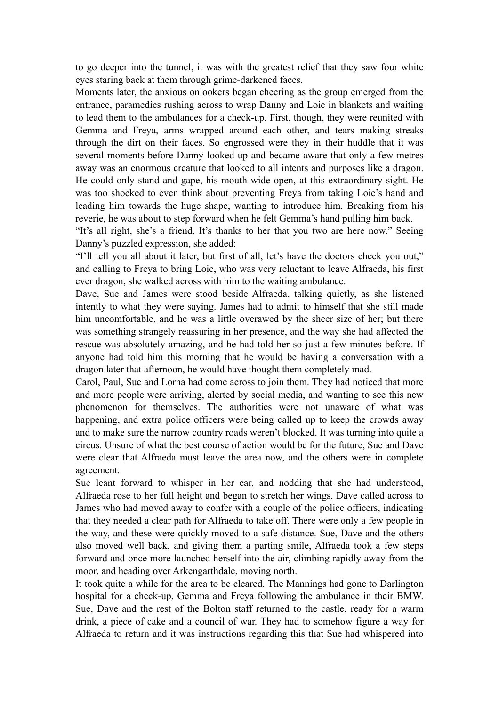to go deeper into the tunnel, it was with the greatest relief that they saw four white eyes staring back at them through grime-darkened faces.

Moments later, the anxious onlookers began cheering as the group emerged from the entrance, paramedics rushing across to wrap Danny and Loic in blankets and waiting to lead them to the ambulances for a check-up. First, though, they were reunited with Gemma and Freya, arms wrapped around each other, and tears making streaks through the dirt on their faces. So engrossed were they in their huddle that it was several moments before Danny looked up and became aware that only a few metres away was an enormous creature that looked to all intents and purposes like a dragon. He could only stand and gape, his mouth wide open, at this extraordinary sight. He was too shocked to even think about preventing Freya from taking Loic's hand and leading him towards the huge shape, wanting to introduce him. Breaking from his reverie, he was about to step forward when he felt Gemma's hand pulling him back.

"It's all right, she's a friend. It's thanks to her that you two are here now." Seeing Danny's puzzled expression, she added:

"I'll tell you all about it later, but first of all, let's have the doctors check you out," and calling to Freya to bring Loic, who was very reluctant to leave Alfraeda, his first ever dragon, she walked across with him to the waiting ambulance.

Dave, Sue and James were stood beside Alfraeda, talking quietly, as she listened intently to what they were saying. James had to admit to himself that she still made him uncomfortable, and he was a little overawed by the sheer size of her; but there was something strangely reassuring in her presence, and the way she had affected the rescue was absolutely amazing, and he had told her so just a few minutes before. If anyone had told him this morning that he would be having a conversation with a dragon later that afternoon, he would have thought them completely mad.

Carol, Paul, Sue and Lorna had come across to join them. They had noticed that more and more people were arriving, alerted by social media, and wanting to see this new phenomenon for themselves. The authorities were not unaware of what was happening, and extra police officers were being called up to keep the crowds away and to make sure the narrow country roads weren't blocked. It was turning into quite a circus. Unsure of what the best course of action would be for the future, Sue and Dave were clear that Alfraeda must leave the area now, and the others were in complete agreement.

Sue leant forward to whisper in her ear, and nodding that she had understood, Alfraeda rose to her full height and began to stretch her wings. Dave called across to James who had moved away to confer with a couple of the police officers, indicating that they needed a clear path for Alfraeda to take off. There were only a few people in the way, and these were quickly moved to a safe distance. Sue, Dave and the others also moved well back, and giving them a parting smile, Alfraeda took a few steps forward and once more launched herself into the air, climbing rapidly away from the moor, and heading over Arkengarthdale, moving north.

It took quite a while for the area to be cleared. The Mannings had gone to Darlington hospital for a check-up, Gemma and Freya following the ambulance in their BMW. Sue, Dave and the rest of the Bolton staff returned to the castle, ready for a warm drink, a piece of cake and a council of war. They had to somehow figure a way for Alfraeda to return and it was instructions regarding this that Sue had whispered into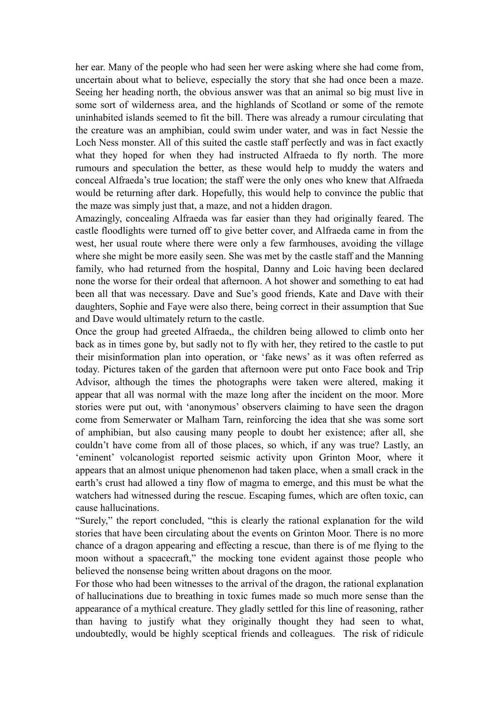her ear. Many of the people who had seen her were asking where she had come from, uncertain about what to believe, especially the story that she had once been a maze. Seeing her heading north, the obvious answer was that an animal so big must live in some sort of wilderness area, and the highlands of Scotland or some of the remote uninhabited islands seemed to fit the bill. There was already a rumour circulating that the creature was an amphibian, could swim under water, and was in fact Nessie the Loch Ness monster. All of this suited the castle staff perfectly and was in fact exactly what they hoped for when they had instructed Alfraeda to fly north. The more rumours and speculation the better, as these would help to muddy the waters and conceal Alfraeda's true location; the staff were the only ones who knew that Alfraeda would be returning after dark. Hopefully, this would help to convince the public that the maze was simply just that, a maze, and not a hidden dragon.

Amazingly, concealing Alfraeda was far easier than they had originally feared. The castle floodlights were turned off to give better cover, and Alfraeda came in from the west, her usual route where there were only a few farmhouses, avoiding the village where she might be more easily seen. She was met by the castle staff and the Manning family, who had returned from the hospital, Danny and Loic having been declared none the worse for their ordeal that afternoon. A hot shower and something to eat had been all that was necessary. Dave and Sue's good friends, Kate and Dave with their daughters, Sophie and Faye were also there, being correct in their assumption that Sue and Dave would ultimately return to the castle.

Once the group had greeted Alfraeda,, the children being allowed to climb onto her back as in times gone by, but sadly not to fly with her, they retired to the castle to put their misinformation plan into operation, or 'fake news' as it was often referred as today. Pictures taken of the garden that afternoon were put onto Face book and Trip Advisor, although the times the photographs were taken were altered, making it appear that all was normal with the maze long after the incident on the moor. More stories were put out, with 'anonymous' observers claiming to have seen the dragon come from Semerwater or Malham Tarn, reinforcing the idea that she was some sort of amphibian, but also causing many people to doubt her existence; after all, she couldn't have come from all of those places, so which, if any was true? Lastly, an 'eminent' volcanologist reported seismic activity upon Grinton Moor, where it appears that an almost unique phenomenon had taken place, when a small crack in the earth's crust had allowed a tiny flow of magma to emerge, and this must be what the watchers had witnessed during the rescue. Escaping fumes, which are often toxic, can cause hallucinations.

"Surely," the report concluded, "this is clearly the rational explanation for the wild stories that have been circulating about the events on Grinton Moor. There is no more chance of a dragon appearing and effecting a rescue, than there is of me flying to the moon without a spacecraft," the mocking tone evident against those people who believed the nonsense being written about dragons on the moor.

For those who had been witnesses to the arrival of the dragon, the rational explanation of hallucinations due to breathing in toxic fumes made so much more sense than the appearance of a mythical creature. They gladly settled for this line of reasoning, rather than having to justify what they originally thought they had seen to what, undoubtedly, would be highly sceptical friends and colleagues. The risk of ridicule